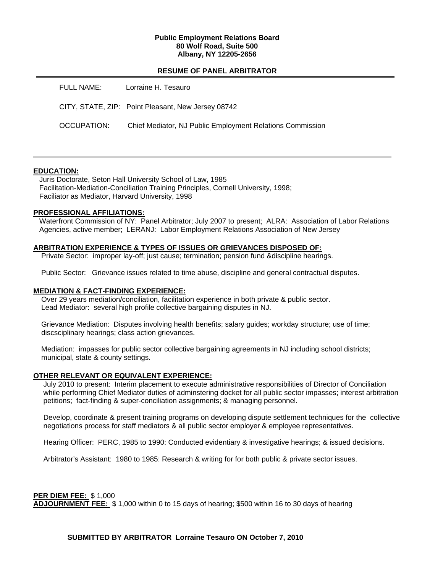### **Public Employment Relations Board 80 Wolf Road, Suite 500 Albany, NY 12205-2656**

## **RESUME OF PANEL ARBITRATOR**

| FULL NAME:  | Lorraine H. Tesauro                                       |
|-------------|-----------------------------------------------------------|
|             | CITY, STATE, ZIP: Point Pleasant, New Jersey 08742        |
| OCCUPATION: | Chief Mediator, NJ Public Employment Relations Commission |

## **EDUCATION:**

 Juris Doctorate, Seton Hall University School of Law, 1985 Facilitation-Mediation-Conciliation Training Principles, Cornell University, 1998; Faciliator as Mediator, Harvard University, 1998

### **PROFESSIONAL AFFILIATIONS:**

 Waterfront Commission of NY: Panel Arbitrator; July 2007 to present; ALRA: Association of Labor Relations Agencies, active member; LERANJ: Labor Employment Relations Association of New Jersey

### **ARBITRATION EXPERIENCE & TYPES OF ISSUES OR GRIEVANCES DISPOSED OF:**

Private Sector: improper lay-off; just cause; termination; pension fund &discipline hearings.

Public Sector: Grievance issues related to time abuse, discipline and general contractual disputes.

#### **MEDIATION & FACT-FINDING EXPERIENCE:**

 Over 29 years mediation/conciliation, facilitation experience in both private & public sector. Lead Mediator: several high profile collective bargaining disputes in NJ.

 Grievance Mediation: Disputes involving health benefits; salary guides; workday structure; use of time; discsciplinary hearings; class action grievances.

 Mediation: impasses for public sector collective bargaining agreements in NJ including school districts; municipal, state & county settings.

#### **OTHER RELEVANT OR EQUIVALENT EXPERIENCE:**

 July 2010 to present: Interim placement to execute administrative responsibilities of Director of Conciliation while performing Chief Mediator duties of adminstering docket for all public sector impasses; interest arbitration petitions; fact-finding & super-conciliation assignments; & managing personnel.

 Develop, coordinate & present training programs on developing dispute settlement techniques for the collective negotiations process for staff mediators & all public sector employer & employee representatives.

Hearing Officer: PERC, 1985 to 1990: Conducted evidentiary & investigative hearings; & issued decisions.

Arbitrator's Assistant: 1980 to 1985: Research & writing for for both public & private sector issues.

#### **PER DIEM FEE:** \$ 1,000

**ADJOURNMENT FEE:** \$ 1,000 within 0 to 15 days of hearing; \$500 within 16 to 30 days of hearing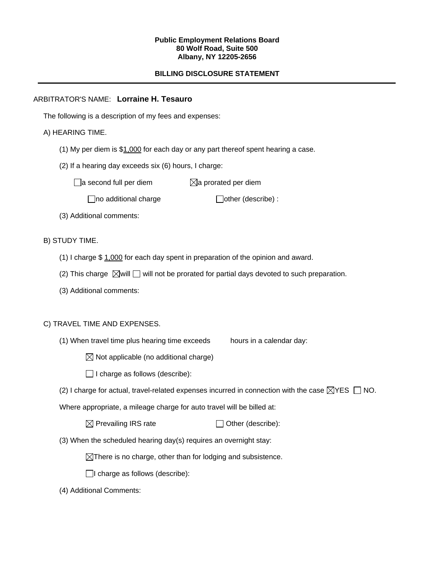### **Public Employment Relations Board 80 Wolf Road, Suite 500 Albany, NY 12205-2656**

# **BILLING DISCLOSURE STATEMENT**

## ARBITRATOR'S NAME: **Lorraine H. Tesauro**

The following is a description of my fees and expenses:

## A) HEARING TIME.

- (1) My per diem is \$1,000 for each day or any part thereof spent hearing a case.
- (2) If a hearing day exceeds six (6) hours, I charge:

 $\Box$ a second full per diem  $\boxtimes$ a prorated per diem

 $\Box$ no additional charge  $\Box$ other (describe) :

(3) Additional comments:

B) STUDY TIME.

- (1) I charge \$ 1,000 for each day spent in preparation of the opinion and award.
- (2) This charge  $\boxtimes$  will  $\Box$  will not be prorated for partial days devoted to such preparation.
- (3) Additional comments:

## C) TRAVEL TIME AND EXPENSES.

- (1) When travel time plus hearing time exceeds hours in a calendar day:
	- $\boxtimes$  Not applicable (no additional charge)
	- $\Box$  I charge as follows (describe):
- (2) I charge for actual, travel-related expenses incurred in connection with the case  $\boxtimes$ YES  $\Box$  NO.

Where appropriate, a mileage charge for auto travel will be billed at:

| $\boxtimes$ Prevailing IRS rate | $\Box$ Other (describe): |
|---------------------------------|--------------------------|
|---------------------------------|--------------------------|

(3) When the scheduled hearing day(s) requires an overnight stay:

 $\boxtimes$ There is no charge, other than for lodging and subsistence.

 $\Box$ I charge as follows (describe):

(4) Additional Comments: